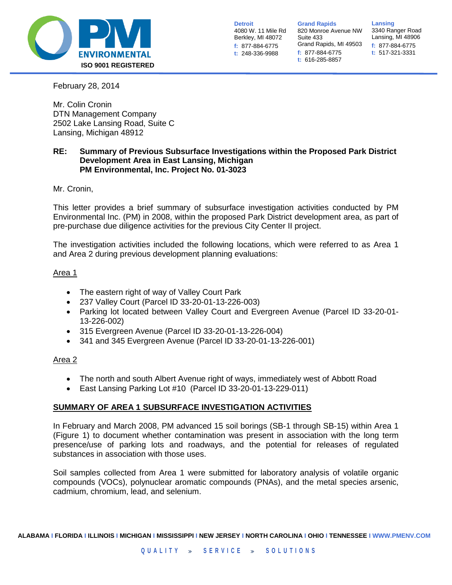

**Detroit** 4080 W. 11 Mile Rd Berkley, MI 48072 **f:** 877-884-6775 **t:** 248-336-9988

**Grand Rapids** 820 Monroe Avenue NW Suite 433 Grand Rapids, MI 49503 **f:** 877-884-6775 **t:** 616-285-8857

**Lansing** 3340 Ranger Road Lansing, MI 48906 **f:** 877-884-6775 **t:** 517-321-3331

February 28, 2014

Mr. Colin Cronin DTN Management Company 2502 Lake Lansing Road, Suite C Lansing, Michigan 48912

# **RE: Summary of Previous Subsurface Investigations within the Proposed Park District Development Area in East Lansing, Michigan PM Environmental, Inc. Project No. 01-3023**

Mr. Cronin,

This letter provides a brief summary of subsurface investigation activities conducted by PM Environmental Inc. (PM) in 2008, within the proposed Park District development area, as part of pre-purchase due diligence activities for the previous City Center II project.

The investigation activities included the following locations, which were referred to as Area 1 and Area 2 during previous development planning evaluations:

## Area 1

- The eastern right of way of Valley Court Park
- 237 Valley Court (Parcel ID 33-20-01-13-226-003)
- Parking lot located between Valley Court and Evergreen Avenue (Parcel ID 33-20-01- 13-226-002)
- 315 Evergreen Avenue (Parcel ID 33-20-01-13-226-004)
- 341 and 345 Evergreen Avenue (Parcel ID 33-20-01-13-226-001)

# Area 2

- The north and south Albert Avenue right of ways, immediately west of Abbott Road
- East Lansing Parking Lot #10 (Parcel ID 33-20-01-13-229-011)

# **SUMMARY OF AREA 1 SUBSURFACE INVESTIGATION ACTIVITIES**

In February and March 2008, PM advanced 15 soil borings (SB-1 through SB-15) within Area 1 (Figure 1) to document whether contamination was present in association with the long term presence/use of parking lots and roadways, and the potential for releases of regulated substances in association with those uses.

Soil samples collected from Area 1 were submitted for laboratory analysis of volatile organic compounds (VOCs), polynuclear aromatic compounds (PNAs), and the metal species arsenic, cadmium, chromium, lead, and selenium.

**ALABAMA I FLORIDA I ILLINOIS I MICHIGAN I MISSISSIPPI I NEW JERSEY I NORTH CAROLINA I OHIO I TENNESSEE I WWW.PMENV.COM**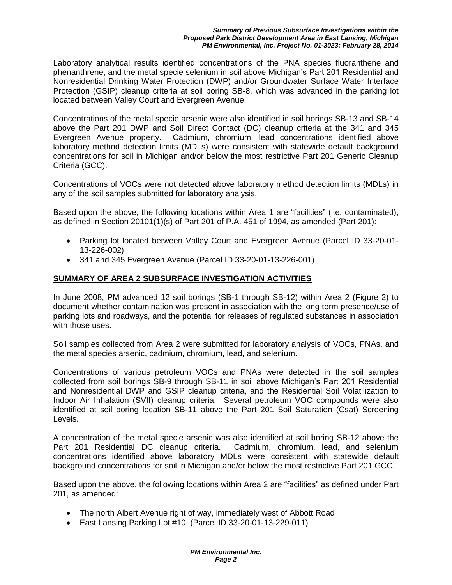### *Summary of Previous Subsurface Investigations within the Proposed Park District Development Area in East Lansing, Michigan PM Environmental, Inc. Project No. 01-3023; February 28, 2014*

Laboratory analytical results identified concentrations of the PNA species fluoranthene and phenanthrene, and the metal specie selenium in soil above Michigan's Part 201 Residential and Nonresidential Drinking Water Protection (DWP) and/or Groundwater Surface Water Interface Protection (GSIP) cleanup criteria at soil boring SB-8, which was advanced in the parking lot located between Valley Court and Evergreen Avenue.

Concentrations of the metal specie arsenic were also identified in soil borings SB-13 and SB-14 above the Part 201 DWP and Soil Direct Contact (DC) cleanup criteria at the 341 and 345 Evergreen Avenue property. Cadmium, chromium, lead concentrations identified above laboratory method detection limits (MDLs) were consistent with statewide default background concentrations for soil in Michigan and/or below the most restrictive Part 201 Generic Cleanup Criteria (GCC).

Concentrations of VOCs were not detected above laboratory method detection limits (MDLs) in any of the soil samples submitted for laboratory analysis.

Based upon the above, the following locations within Area 1 are "facilities" (i.e. contaminated), as defined in Section 20101(1)(s) of Part 201 of P.A. 451 of 1994, as amended (Part 201):

- Parking lot located between Valley Court and Evergreen Avenue (Parcel ID 33-20-01- 13-226-002)
- 341 and 345 Evergreen Avenue (Parcel ID 33-20-01-13-226-001)

# **SUMMARY OF AREA 2 SUBSURFACE INVESTIGATION ACTIVITIES**

In June 2008, PM advanced 12 soil borings (SB-1 through SB-12) within Area 2 (Figure 2) to document whether contamination was present in association with the long term presence/use of parking lots and roadways, and the potential for releases of regulated substances in association with those uses.

Soil samples collected from Area 2 were submitted for laboratory analysis of VOCs, PNAs, and the metal species arsenic, cadmium, chromium, lead, and selenium.

Concentrations of various petroleum VOCs and PNAs were detected in the soil samples collected from soil borings SB-9 through SB-11 in soil above Michigan's Part 201 Residential and Nonresidential DWP and GSIP cleanup criteria, and the Residential Soil Volatilization to Indoor Air Inhalation (SVII) cleanup criteria. Several petroleum VOC compounds were also identified at soil boring location SB-11 above the Part 201 Soil Saturation (Csat) Screening Levels.

A concentration of the metal specie arsenic was also identified at soil boring SB-12 above the Part 201 Residential DC cleanup criteria. Cadmium, chromium, lead, and selenium concentrations identified above laboratory MDLs were consistent with statewide default background concentrations for soil in Michigan and/or below the most restrictive Part 201 GCC.

Based upon the above, the following locations within Area 2 are "facilities" as defined under Part 201, as amended:

- The north Albert Avenue right of way, immediately west of Abbott Road
- East Lansing Parking Lot #10 (Parcel ID 33-20-01-13-229-011)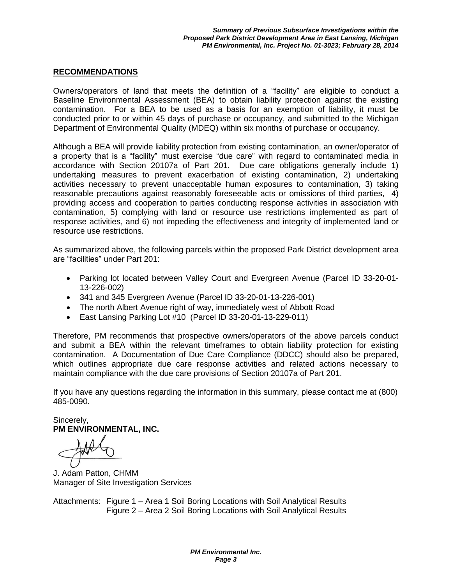## **RECOMMENDATIONS**

Owners/operators of land that meets the definition of a "facility" are eligible to conduct a Baseline Environmental Assessment (BEA) to obtain liability protection against the existing contamination. For a BEA to be used as a basis for an exemption of liability, it must be conducted prior to or within 45 days of purchase or occupancy, and submitted to the Michigan Department of Environmental Quality (MDEQ) within six months of purchase or occupancy.

Although a BEA will provide liability protection from existing contamination, an owner/operator of a property that is a "facility" must exercise "due care" with regard to contaminated media in accordance with Section 20107a of Part 201. Due care obligations generally include 1) undertaking measures to prevent exacerbation of existing contamination, 2) undertaking activities necessary to prevent unacceptable human exposures to contamination, 3) taking reasonable precautions against reasonably foreseeable acts or omissions of third parties, 4) providing access and cooperation to parties conducting response activities in association with contamination, 5) complying with land or resource use restrictions implemented as part of response activities, and 6) not impeding the effectiveness and integrity of implemented land or resource use restrictions.

As summarized above, the following parcels within the proposed Park District development area are "facilities" under Part 201:

- Parking lot located between Valley Court and Evergreen Avenue (Parcel ID 33-20-01- 13-226-002)
- 341 and 345 Evergreen Avenue (Parcel ID 33-20-01-13-226-001)
- The north Albert Avenue right of way, immediately west of Abbott Road
- East Lansing Parking Lot #10 (Parcel ID 33-20-01-13-229-011)

Therefore, PM recommends that prospective owners/operators of the above parcels conduct and submit a BEA within the relevant timeframes to obtain liability protection for existing contamination. A Documentation of Due Care Compliance (DDCC) should also be prepared, which outlines appropriate due care response activities and related actions necessary to maintain compliance with the due care provisions of Section 20107a of Part 201.

If you have any questions regarding the information in this summary, please contact me at (800) 485-0090.

Sincerely, **PM ENVIRONMENTAL, INC.**

J. Adam Patton, CHMM Manager of Site Investigation Services

Attachments: Figure 1 – Area 1 Soil Boring Locations with Soil Analytical Results Figure 2 – Area 2 Soil Boring Locations with Soil Analytical Results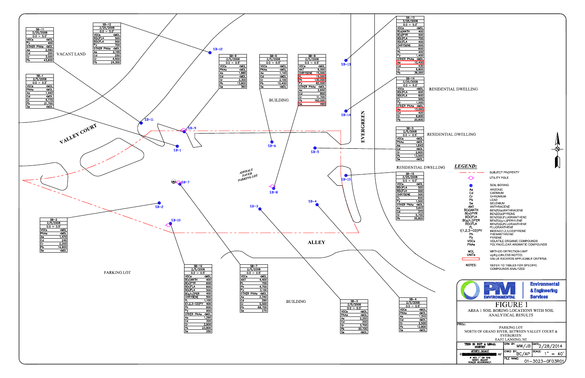